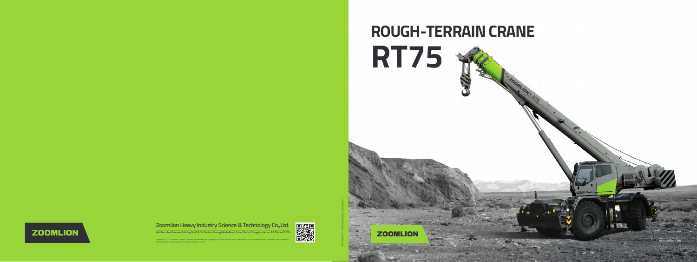Copyright © 2015 Zoomlion. All rights reserved. Reproduction and copying of any part of the Contents is not allowed for any purposes without Zoomlion's written approval. ting appearance shall be subject to sampl



VN : EN-MC-201509-01 Printed in China

## 爨 **Zoomlion Heavy Industry Science & Technology Co.,Ltd.**



**Add:Zoomlion Overseas Building, No.613, 3rd Section, Furong Middle Road, Yuhua District, Changsha, Hunan, P.R.China 410205**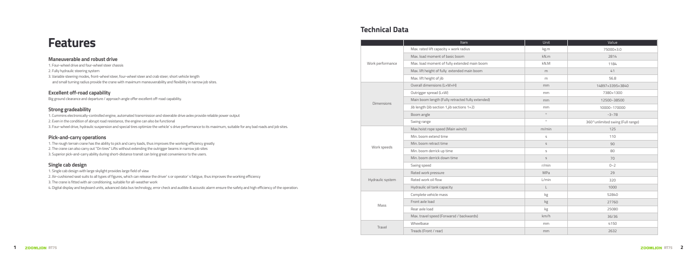### **Technical Data**

# **Features**

|                   | <b>Item</b>                                       | Unit         | Value                             |
|-------------------|---------------------------------------------------|--------------|-----------------------------------|
|                   | Max. rated lift capacity x work radius            | kg.m         | 75000×3.0                         |
|                   | Max. load moment of basic boom                    | kN.m         | 2814                              |
| Work performance  | Max. load moment of fully extended main boom      | kN.M         | 1184                              |
|                   | Max. lift height of fully extended main boom      | m            | 41                                |
|                   | Max. lift height of jib                           | m            | 56.8                              |
|                   | Overall dimensions (LxWxH)                        | mm           | 14897×3395×3840                   |
|                   | Outrigger spread (LxW)                            | mm           | 7380×1300                         |
| <b>Dimensions</b> | Main boom length (Fully retracted fully extended) | mm           | 12500~38500                       |
|                   | Jib length (Jib section 1,jib sections 1+2)       | mm           | 10000~170000                      |
|                   | Boom angle                                        | $\circ$      | $-3 - 78$                         |
|                   | Swing range                                       | $\circ$      | 360° unlimited swing (Full range) |
|                   | Max.hoist rope speed (Main winch)                 | m/min        | 125                               |
|                   | Min. boom extend time                             | $\mathsf S$  | 110                               |
| Work speeds       | Min. boom retract time                            | $\mathsf S$  | 90                                |
|                   | Min. boom derrick up time                         | $\mathsf S$  | 80                                |
|                   | Min. boom derrick down time                       | $\mathsf{S}$ | 70                                |
|                   | Swing speed                                       | r/min        | $0 - 2$                           |
|                   | Rated work pressure                               | MPa          | 29                                |
| Hydraulic system  | Rated work oil flow                               | L/min        | 320                               |
|                   | Hydraulic oil tank capacity                       | $\mathsf{L}$ | 1000                              |
|                   | Complete vehicle mass                             | kg           | 52840                             |
| Mass              | Front axle load                                   | kg           | 27760                             |
|                   | Rear axle load                                    | kg           | 25080                             |
|                   | Max. travel speed (Forwarsd / backwards)          | km/h         | 36/36                             |
| Travel            | Wheelbase                                         | mm           | 4150                              |
|                   | Treads (Front / rear)                             | mm           | 2632                              |

| <b>Maneuverable and robust drive</b><br>1. Four-wheel drive and four-wheel steer chassis                                                                       |
|----------------------------------------------------------------------------------------------------------------------------------------------------------------|
| 2. Fully hydraulic steering system                                                                                                                             |
| 3. Variable steering modes, front-wheel steer, four-wheel steer and crab steer; short vehicle length                                                           |
| and small turning radius provide the crane with maximum maneuverability and flexibility in narrow job sites.                                                   |
| <b>Excellent off-road capability</b>                                                                                                                           |
| Big ground clearance and departure / approach angle offer excellent off-road capability.                                                                       |
| <b>Strong gradeability</b>                                                                                                                                     |
| 1. Cummins electronically-controlled engine, automated transmission and steerable drive axlex provide reliable power output                                    |
| 2. Even in the condition of abrupt road resistance, the engine can also be functional                                                                          |
| 3. Four-wheel drive, hydraulic suspension and special tires optimize the vehicle's drive performance to its maximum, suitable for any bad roads and job sites. |
| <b>Pick-and-carry operations</b>                                                                                                                               |
| 1. The rough terrain crane has the ability to pick and carry loads, thus improves the working efficiency greatly                                               |
| 2. The crane can also carry out "On tires" Lifts without extending the outrigger beams in narrow job sites                                                     |
| 3. Superior pick-and-carry ability during short-distance transit can bring great convenience to the users.                                                     |
| Single cab design                                                                                                                                              |
| 1. Single cab design with large skylight provides large field of view                                                                                          |
|                                                                                                                                                                |

2. Air-cushioned seat suits to all types of figures, which can release the driver' s or operator' s fatigue, thus improves the working efficiency

3. The crane is fitted with air conditioning, suitable for all-weather work

4. Digital display and keyboard units, advanced data bus technology, error check and audible & acoustic alarm ensure the safety and high efficiency of the operation.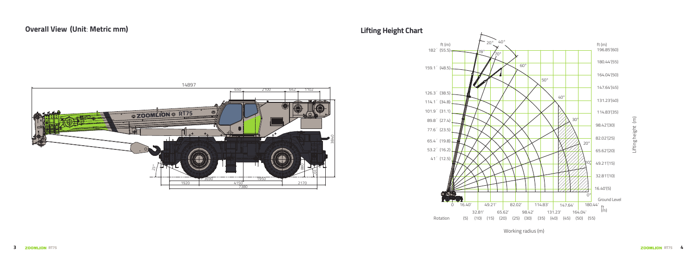14897  $\mathring{\tilde{S}}$ 20° 650 7380 1920 <u>|</u> 2170 4150 4150 | 2170  $-1950$ 642 1102 3840 880 2100 **@ZOOMLION @ RT75** 

### **Overall View Lifting Height Chart (Unit**: **Metric mm)**



### Working radius (m)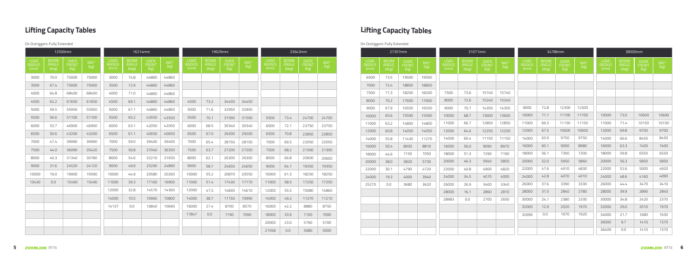## **Lifting Capacity Tables Lifting Capacity Tables**

|       |      | 12500mm |       |       |      | 16214mm |       |            |              | 19929mm |       |       |      | 23643mm               |       |       |      | 27357mm |       |                    | 31071mm |       |       |       |      | 34786mm |       |       | 38500mm |    |
|-------|------|---------|-------|-------|------|---------|-------|------------|--------------|---------|-------|-------|------|-----------------------|-------|-------|------|---------|-------|--------------------|---------|-------|-------|-------|------|---------|-------|-------|---------|----|
|       | NGLE |         |       | I OAD |      | RON     |       | <b>OAD</b> | 3OON<br>MGLI | FRON    |       | I OAF |      | OVER<br>FRONT<br>(kg) |       | ımm   |      |         |       | <b>OAD</b><br>(mm) |         |       |       |       | :OOM |         |       | mm)   |         |    |
| 3000  | 70.0 | 75000   | 75000 | 3000  | 74.8 | 44860   | 44860 |            |              |         |       |       |      |                       |       | 6500  | 73.5 | 19500   | 19500 |                    |         |       |       |       |      |         |       |       |         |    |
| 3500  | 67.4 | 75000   | 75000 | 3500  | 72.9 | 44860   | 44860 |            |              |         |       |       |      |                       |       | 7000  | 72.4 | 18850   | 18850 |                    |         |       |       |       |      |         |       |       |         |    |
| 4000  | 64.8 | 68400   | 68400 | 4000  | 71.0 | 44860   | 44860 |            |              |         |       |       |      |                       |       | 7500  | 71.3 | 18200   | 18200 | 7500               | 73.6    | 15740 | 15740 |       |      |         |       |       |         |    |
| 4500  | 62.2 | 61650   | 61650 | 4500  | 69.1 | 44860   | 44860 | 4500       | 73.2         | 34450   | 34450 |       |      |                       |       | 8000  | 70.2 | 17600   | 17600 | 8000               | 72.6    | 15240 | 15240 |       |      |         |       |       |         |    |
| 5000  | 59.5 | 55950   | 55950 | 5000  | 67.1 | 44860   | 44860 | 5000       | 71.6         | 32950   | 32950 |       |      |                       |       | 9000  | 67.9 | 16550   | 16550 | 9000               | 70.7    | 14350 | 14350 | 9000  | 72.8 | 12300   | 12300 |       |         |    |
| 5500  | 56.6 | 51100   | 51100 | 5500  | 65.2 | 43550   | 43550 | 5500       | 70.1         | 31590   | 31590 | 5500  | 73.4 | 24700                 | 24700 | 10000 | 65.6 | 15590   | 15590 | 10000              | 68.7    | 13600 | 13600 | 10000 | 71.1 | 11700   | 11700 | 10000 | 73.0    | 10 |
| 6000  | 53.7 | 46900   | 46900 | 6000  | 63.1 | 42050   | 42050 | 6000       | 68.5         | 30340   | 30340 | 6000  | 72.1 | 23750                 | 23750 | 11000 | 63.2 | 14800   | 14800 | 11000              | 66.7    | 12850 | 12850 | 11000 | 69.3 | 11150   | 11150 | 11000 | 71.4    |    |
| 6500  | 50.6 | 43200   | 43200 | 6500  | 61.1 | 40650   | 40650 | 6500       | 67.0         | 29200   | 29200 | 6500  | 70.8 | 22850                 | 22850 | 12000 | 60.8 | 14050   | 14050 | 12000              | 64.6    | 12250 | 12250 | 12000 | 67.5 | 10600   | 10600 | 12000 | 69.8    |    |
| 7000  | 47.4 | 39990   | 39990 | 7000  | 59.0 | 39400   | 39400 | 7000       | 65.4         | 28150   | 28150 | 7000  | 69.5 | 22050                 | 22050 | 14000 | 55.8 | 11430   | 11270 | 14000              | 60.4    | 11150 | 11150 | 14000 | 63.9 | 9750    | 9750  | 14000 | 66.6    |    |
| 7500  | 44.0 | 36090   | 35420 | 7500  | 56.8 | 37040   | 36350 | 7500       | 63.7         | 27200   | 27200 | 7500  | 68.2 | 21300                 | 21300 | 16000 | 50.4 | 8930    | 8810  | 16000              | 56.0    | 9090  | 8970  | 16000 | 60.1 | 9000    | 8980  | 16000 | 63.3    |    |
| 8000  | 40.3 | 31340   | 30780 | 8000  | 54.6 | 32210   | 31650 | 8000       | 62.1         | 26300   | 26300 | 8000  | 66.8 | 20600                 | 20600 | 18000 | 44.6 | 7150    | 7050  | 18000              | 51.3    | 7290  | 7190  | 18000 | 56.1 | 7300    | 7200  | 18000 | 59.8    |    |
| 9000  | 31.6 | 24520   | 24120 | 9000  | 49.9 | 25290   | 24890 | 9000       | 58.7         | 24650   | 24650 | 9000  | 64.1 | 19350                 | 19350 | 20000 | 38.0 | 5820    | 5730  | 20000              | 46.3    | 5940  | 5850  | 20000 | 52.0 | 5950    | 5860  | 20000 | 56.3    |    |
| 10000 | 19.0 | 19900   | 19590 | 10000 | 44.9 | 20580   | 20260 | 10000      | 55.2         | 20870   | 20550 | 10000 | 61.3 | 18250                 | 18250 | 22000 | 30.1 | 4790    | 4720  | 22000              | 40.8    | 4900  | 4820  | 22000 | 47.6 | 4910    | 4830  | 22000 | 52.6    |    |
| 10430 | 0.0  | 15490   | 15490 | 11000 | 39.3 | 17160   | 16900 | 11000      | 51.4         | 17430   | 17170 | 11000 | 58.5 | 17250                 | 17250 | 24000 | 19.3 | 4000    | 3940  | 24000              | 34.5    | 4070  | 4000  | 24000 | 42.8 | 4070    | 4010  | 24000 | 48.6    |    |
|       |      |         |       |       |      |         |       |            |              |         |       |       |      |                       |       | 25270 | 0.0  | 3680    | 3620  | 26000              | 26.9    | 3400  | 3340  | 26000 | 37.6 | 3390    | 3330  | 26000 | 44.4    |    |
|       |      |         |       | 12000 | 32.8 | 14570   | 14360 | 12000      | 47.5         | 14830   | 14610 | 12000 | 55.5 | 15080                 | 14860 |       |      |         |       | 28000              | 16.1    | 2860  | 2810  | 28000 | 31.5 | 2840    | 2780  | 28000 | 39.9    |    |
|       |      |         |       | 14000 | 10.5 | 10960   | 10800 | 14000      | 38.7         | 11150   | 10990 | 14000 | 49.2 | 11370                 | 11210 |       |      |         |       | 28983              | 0.0     | 2700  | 2650  | 30000 | 24.1 | 2380    | 2330  | 30000 | 34.8    |    |
|       |      |         |       | 14137 |      | 10840   | 10690 | 16000      | 27.4         | 8700    | 8570  | 16000 | 42.2 | 8880                  | 8750  |       |      |         |       |                    |         |       |       | 32000 | 12.9 | 2020    | 1970  | 32000 | 29.0    |    |
|       |      |         |       |       |      |         |       | 17847      | 0.0          | 7190    | 7090  | 18000 | 33.9 | 7100                  | 7000  |       |      |         |       |                    |         |       |       | 32696 | 0.0  | 1970    | 1920  | 34000 | 21.7    |    |
|       |      |         |       |       |      |         |       |            |              |         |       | 20000 | 23.0 | 5790                  | 5700  |       |      |         |       |                    |         |       |       |       |      |         |       | 36000 | 9.7     |    |
|       |      |         |       |       |      |         |       |            |              |         |       | 21558 | 0.0  | 5080                  | 5000  |       |      |         |       |                    |         |       |       |       |      |         |       | 36409 | 0.0     |    |

| <b>LOAD</b><br>RADIUS<br><u>(mm)</u> |  |
|--------------------------------------|--|
| 6500                                 |  |
| 7000                                 |  |
| 7500                                 |  |
| 8000                                 |  |
| 9000                                 |  |
| 10000                                |  |
| 11000                                |  |
| 12000                                |  |
| 14000                                |  |
| 16000                                |  |
| 18000                                |  |
| 20000                                |  |
| 22000                                |  |
| 24000                                |  |
| 25270                                |  |
|                                      |  |
|                                      |  |
|                                      |  |
|                                      |  |
|                                      |  |
|                                      |  |

| 27357mm                              |                                     |                     |                                      | 31071mm                       |                                     |                       |                                      |                               | 34786mm                             |                       |                                      |                                      | 38500mm                             |                       |
|--------------------------------------|-------------------------------------|---------------------|--------------------------------------|-------------------------------|-------------------------------------|-----------------------|--------------------------------------|-------------------------------|-------------------------------------|-----------------------|--------------------------------------|--------------------------------------|-------------------------------------|-----------------------|
| <b>BOOM</b><br><b>ANGLE</b><br>(deg) | <b>OVER</b><br><b>FRONT</b><br>(kg) | $360^\circ$<br>(kg) | <b>LOAD</b><br><b>RADIUS</b><br>(mm) | <b>BOOM</b><br>ANGLE<br>(deg) | <b>OVER</b><br><b>FRONT</b><br>(kg) | $360^{\circ}$<br>(kg) | <b>LOAD</b><br><b>RADIUS</b><br>(mm) | <b>BOOM</b><br>ANGLE<br>(deg) | <b>OVER</b><br><b>FRONT</b><br>(kg) | $360^{\circ}$<br>(kg) | <b>LOAD</b><br><b>RADIUS</b><br>(mm) | <b>BOOM</b><br><b>ANGLE</b><br>(deg) | <b>OVER</b><br><b>FRONT</b><br>(kg) | $360^{\circ}$<br>(kg) |
| 73.5                                 | 19500                               | 19500               |                                      |                               |                                     |                       |                                      |                               |                                     |                       |                                      |                                      |                                     |                       |
| 72.4                                 | 18850                               | 18850               |                                      |                               |                                     |                       |                                      |                               |                                     |                       |                                      |                                      |                                     |                       |
| 71.3                                 | 18200                               | 18200               | 7500                                 | 73.6                          | 15740                               | 15740                 |                                      |                               |                                     |                       |                                      |                                      |                                     |                       |
| 70.2                                 | 17600                               | 17600               | 8000                                 | 72.6                          | 15240                               | 15240                 |                                      |                               |                                     |                       |                                      |                                      |                                     |                       |
| 67.9                                 | 16550                               | 16550               | 9000                                 | 70.7                          | 14350                               | 14350                 | 9000                                 | 72.8                          | 12300                               | 12300                 |                                      |                                      |                                     |                       |
| 65.6                                 | 15590                               | 15590               | 10000                                | 68.7                          | 13600                               | 13600                 | 10000                                | 71.1                          | 11700                               | 11700                 | 10000                                | 73.0                                 | 10600                               | 10600                 |
| 63.2                                 | 14800                               | 14800               | 11000                                | 66.7                          | 12850                               | 12850                 | 11000                                | 69.3                          | 11150                               | 11150                 | 11000                                | 71.4                                 | 10150                               | 10150                 |
| 60.8                                 | 14050                               | 14050               | 12000                                | 64.6                          | 12250                               | 12250                 | 12000                                | 67.5                          | 10600                               | 10600                 | 12000                                | 69.8                                 | 9700                                | 9700                  |
| 55.8                                 | 11430                               | 11270               | 14000                                | 60.4                          | 11150                               | 11150                 | 14000                                | 63.9                          | 9750                                | 9750                  | 14000                                | 66.6                                 | 8450                                | 8450                  |
| 50.4                                 | 8930                                | 8810                | 16000                                | 56.0                          | 9090                                | 8970                  | 16000                                | 60.1                          | 9000                                | 8980                  | 16000                                | 63.3                                 | 7400                                | 7400                  |
| 44.6                                 | 7150                                | 7050                | 18000                                | 51.3                          | 7290                                | 7190                  | 18000                                | 56.1                          | 7300                                | 7200                  | 18000                                | 59.8                                 | 6550                                | 6550                  |
| 38.0                                 | 5820                                | 5730                | 20000                                | 46.3                          | 5940                                | 5850                  | 20000                                | 52.0                          | 5950                                | 5860                  | 20000                                | 56.3                                 | 5850                                | 5850                  |
| 30.1                                 | 4790                                | 4720                | 22000                                | 40.8                          | 4900                                | 4820                  | 22000                                | 47.6                          | 4910                                | 4830                  | 22000                                | 52.6                                 | 5000                                | 4920                  |
| 19.3                                 | 4000                                | 3940                | 24000                                | 34.5                          | 4070                                | 4000                  | 24000                                | 42.8                          | 4070                                | 4010                  | 24000                                | 48.6                                 | 4160                                | 4090                  |
| $0.0\,$                              | 3680                                | 3620                | 26000                                | 26.9                          | 3400                                | 3340                  | 26000                                | 37.6                          | 3390                                | 3330                  | 26000                                | 44.4                                 | 3470                                | 3410                  |
|                                      |                                     |                     | 28000                                | 16.1                          | 2860                                | 2810                  | 28000                                | 31.5                          | 2840                                | 2780                  | 28000                                | 39.9                                 | 2890                                | 2840                  |
|                                      |                                     |                     | 28983                                | 0.0                           | 2700                                | 2650                  | 30000                                | 24.1                          | 2380                                | 2330                  | 30000                                | 34.8                                 | 2420                                | 2370                  |
|                                      |                                     |                     |                                      |                               |                                     |                       | 32000                                | 12.9                          | 2020                                | 1970                  | 32000                                | 29.0                                 | 2010                                | 1970                  |
|                                      |                                     |                     |                                      |                               |                                     |                       | 32696                                | 0.0                           | 1970                                | 1920                  | 34000                                | 21.7                                 | 1680                                | 1630                  |
|                                      |                                     |                     |                                      |                               |                                     |                       |                                      |                               |                                     |                       | 36000                                | 9.7                                  | 1410                                | 1370                  |
|                                      |                                     |                     |                                      |                               |                                     |                       |                                      |                               |                                     |                       | 36409                                | 0.0                                  | 1410                                | 1370                  |

### On Outriggers-Fully Extended On Outriggers-Fully Extended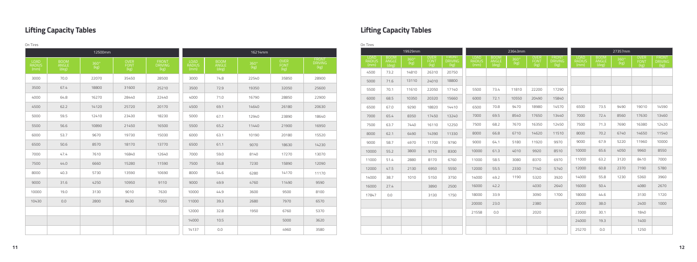### **Lifting Capacity Tables Lifting Capacity Tables**

| On Tires                      |                        |                       |                      |                                |                                      |                               |                       |                      |                                | On Tires                             |                         |         |                     |                        |                               |                         |         |              |                        |                                      |                |                     |
|-------------------------------|------------------------|-----------------------|----------------------|--------------------------------|--------------------------------------|-------------------------------|-----------------------|----------------------|--------------------------------|--------------------------------------|-------------------------|---------|---------------------|------------------------|-------------------------------|-------------------------|---------|--------------|------------------------|--------------------------------------|----------------|---------------------|
|                               |                        | 12500mm               |                      |                                |                                      |                               | 16214mm               |                      |                                |                                      |                         | 19929mm |                     |                        |                               |                         | 23643mm |              |                        |                                      |                | 27357mm             |
| <b>LOAD</b><br>RADIUS<br>(mm) | BOOM<br>ANGLE<br>(deg) | $360^{\circ}$<br>(kg) | OVER<br>FONT<br>(kg) | FRONT<br><b>DRIVING</b><br>kg) | <b>LOAD</b><br><b>RADIUS</b><br>(mm) | <b>BOOM</b><br>ANGLE<br>(deg) | $360^{\circ}$<br>(kg) | OVER<br>FONT<br>(kg) | FRONT<br><b>DRIVING</b><br>kg) | <b>LOAD</b><br><b>RADIUS</b><br>(mm) | ANGLE<br>$(\text{deg})$ |         | <b>FONT</b><br>(kg) | <b>DRIVING</b><br>(Kg) | LOAD<br><b>RADIUS</b><br>(mm) | ANGLE<br>$(\text{deg})$ |         | FONT<br>(kg) | <b>DRIVING</b><br>(Kg) | <b>LOAD</b><br><b>RADIUS</b><br>(mm) | ANGLE<br>(deg) | $360^\circ$<br>(kg) |
|                               |                        |                       |                      |                                |                                      |                               |                       |                      |                                | 4500                                 | 73.2                    | 14810   | 26310               | 20750                  |                               |                         |         |              |                        |                                      |                |                     |
| 3000                          | 70.0                   | 22070                 | 35450                | 28500                          | 3000                                 | 74.8                          | 22540                 | 35850                | 28900                          | 5000                                 | 71.6                    | 13110   | 24010               | 18800                  |                               |                         |         |              |                        |                                      |                |                     |
| 3500                          | 67.4                   | 18800                 | 31600                | 25210                          | 3500                                 | 72.9                          | 19350                 | 32050                | 25600                          | 5500                                 | 70.1                    | 11610   | 22050               | 17140                  | 5500                          | 73.4                    | 11810   | 22200        | 17290                  |                                      |                |                     |
| 4000                          | 64.8                   | 16270                 | 28440                | 22440                          | 4000                                 | 71.0                          | 16790                 | 28850                | 22900                          | 6000                                 | 68.5                    | 10350   | 20320               | 15660                  | 6000                          | 72.1                    | 10550   | 20490        | 15840                  |                                      |                |                     |
| 4500                          | 62.2                   | 14120                 | 25720                | 20170                          | 4500                                 | 69.1                          | 14640                 | 26180                | 20630                          | 6500                                 | 67.0                    | 9290    | 18820               | 14410                  | 6500                          | 70.8                    | 9470    | 18980        | 14570                  | 6500                                 | 73.5           | 9490                |
| 5000                          | 59.5                   | 12410                 | 23430                | 18230                          | 5000                                 | 67.1                          | 12940                 | 23890                | 18640                          | 7000                                 | 65.4                    | 8350    | 17450               | 13240                  | 7000                          | 69.5                    | 8540    | 17650        | 13440                  | 7000                                 | 72.4           | 8560                |
| 5500                          | 56.6                   | 10890                 | 21450                | 16500                          | 5500                                 | 65.2                          | 11440                 | 21900                | 16950                          | 7500                                 | 63.7                    | 7440    | 16110               | 12250                  | 7500                          | 68.2                    | 7670    | 16350        | 12450                  | 7500                                 | 71.3           | 7690                |
| 6000                          | 53.7                   | 9670                  | 19730                | 15030                          | 6000                                 | 63.1                          | 10190                 | 20180                | 15520                          | 8000                                 | 62.1                    | 6490    | 14390               | 11330                  | 8000                          | 66.8                    | 6710    | 14620        | 11510                  | 8000                                 | 70.2           | 6740                |
| 6500                          | 50.6                   | 8570                  | 18170                | 13770                          | 6500                                 | 61.1                          | 9070                  | 18630                | 14230                          | 9000                                 | 58.7                    | 4970    | 11700               | 9790                   | 9000                          | 64.1                    | 5180    | 11920        | 9970                   | 9000                                 | 67.9           | 5220                |
| 7000                          | 47.4                   | 7610                  | 16840                | 12640                          | 7000                                 | 59.0                          | 8140                  | 17270                | 13070                          | 10000                                | 55.2                    | 3800    | 9710                | 8300                   | 10000                         | 61.3                    | 4010    | 9920         | 8510                   | 10000                                | 65.6           | 4050                |
| 7500                          | 44.0                   | 6660                  | 15280                | 11590                          | 7500                                 | 56.8                          | 7230                  | 15890                | 12090                          | 11000                                | 51.4                    | 2880    | 8170                | 6760                   | 11000                         | 58.5                    | 3080    | 8370         | 6970                   | 11000                                | 63.2           | 3120                |
| 8000                          | 40.3                   | 5730                  | 13590                | 10690                          | 8000                                 | 54.6                          | 6280                  | 14170                | 11170                          | 12000                                | 47.5                    | 2130    | 6950                | 5550                   | 12000                         | 55.5                    | 2330    | 7140         | 5740                   | 12000                                | 60.8           | 2370                |
|                               |                        |                       |                      |                                |                                      |                               |                       |                      |                                | 14000                                | 38.7                    | 1010    | 5150                | 3750                   | 14000                         | 49.2                    | 1190    | 5320         | 3920                   | 14000                                | 55.8           | 1230                |
| 9000                          | 31.6                   | 4250                  | 10950                | 9110                           | 9000                                 | 49.9                          | 4760                  | 11490                | 9590                           | 16000                                | 27.4                    |         | 3890                | 2500                   | 16000                         | 42.2                    |         | 4030         | 2640                   | 16000                                | 50.4           |                     |
| 10000                         | 19.0                   | 3130                  | 9010                 | 7630                           | 10000                                | 44.9                          | 3600                  | 9500                 | 8100                           | 17847                                | 0.0                     |         | 3130                | 1750                   | 18000                         | 33.9                    |         | 3090         | 1700                   | 18000                                | 44.6           |                     |
| 10430                         | 0.0                    | 2800                  | 8430                 | 7050                           | 11000                                | 39.3                          | 2680                  | 7970                 | 6570                           |                                      |                         |         |                     |                        | 20000                         | 23.0                    |         | 2380         |                        | 20000                                | 38.0           |                     |
|                               |                        |                       |                      |                                | 12000                                | 32.8                          | 1950                  | 6760                 | 5370                           |                                      |                         |         |                     |                        | 21558                         | 0.0                     |         | 2020         |                        | 22000                                | 30.1           |                     |
|                               |                        |                       |                      |                                | 14000                                | 10.5                          |                       | 5000                 | 3620                           |                                      |                         |         |                     |                        |                               |                         |         |              |                        | 24000                                | 19.3           |                     |
|                               |                        |                       |                      |                                | 14137                                | 0.0                           |                       | 4960                 | 3580                           |                                      |                         |         |                     |                        |                               |                         |         |              |                        | 25270                                | 0.0            |                     |
|                               |                        |                       |                      |                                |                                      |                               |                       |                      |                                |                                      |                         |         |                     |                        |                               |                         |         |              |                        |                                      |                |                     |

|                                      | 19929mm             |                                    |                                 |                                      |                                      | 23643mm      |                                    |                                 |                                      |                               | 27357mm      |                                    |                                        |
|--------------------------------------|---------------------|------------------------------------|---------------------------------|--------------------------------------|--------------------------------------|--------------|------------------------------------|---------------------------------|--------------------------------------|-------------------------------|--------------|------------------------------------|----------------------------------------|
| <b>BOOM</b><br><b>ANGLE</b><br>(deg) | $360^\circ$<br>(kg) | <b>OVER</b><br><b>FONT</b><br>(kg) | FRONT<br><b>DRIVING</b><br>(kg) | <b>LOAD</b><br><b>RADIUS</b><br>(mm) | <b>BOOM</b><br><b>ANGLE</b><br>(deg) | 360°<br>(kg) | <b>OVER</b><br><b>FONT</b><br>(kg) | FRONT<br><b>DRIVING</b><br>(kg) | <b>LOAD</b><br><b>RADIUS</b><br>(mm) | <b>BOOM</b><br>ANGLE<br>(deg) | 360°<br>(kg) | <b>OVER</b><br><b>FONT</b><br>(kg) | <b>FRONT</b><br><b>DRIVING</b><br>(kg) |
| 73.2                                 | 14810               | 26310                              | 20750                           |                                      |                                      |              |                                    |                                 |                                      |                               |              |                                    |                                        |
| 71.6                                 | 13110               | 24010                              | 18800                           |                                      |                                      |              |                                    |                                 |                                      |                               |              |                                    |                                        |
| 70.1                                 | 11610               | 22050                              | 17140                           | 5500                                 | 73.4                                 | 11810        | 22200                              | 17290                           |                                      |                               |              |                                    |                                        |
| 68.5                                 | 10350               | 20320                              | 15660                           | 6000                                 | 72.1                                 | 10550        | 20490                              | 15840                           |                                      |                               |              |                                    |                                        |
| 67.0                                 | 9290                | 18820                              | 14410                           | 6500                                 | 70.8                                 | 9470         | 18980                              | 14570                           | 6500                                 | 73.5                          | 9490         | 19010                              | 14590                                  |
| 65.4                                 | 8350                | 17450                              | 13240                           | 7000                                 | 69.5                                 | 8540         | 17650                              | 13440                           | 7000                                 | 72.4                          | 8560         | 17630                              | 13460                                  |
| 63.7                                 | 7440                | 16110                              | 12250                           | 7500                                 | 68.2                                 | 7670         | 16350                              | 12450                           | 7500                                 | 71.3                          | 7690         | 16380                              | 12420                                  |
| 62.1                                 | 6490                | 14390                              | 11330                           | 8000                                 | 66.8                                 | 6710         | 14620                              | 11510                           | 8000                                 | 70.2                          | 6740         | 14650                              | 11540                                  |
| 58.7                                 | 4970                | 11700                              | 9790                            | 9000                                 | 64.1                                 | 5180         | 11920                              | 9970                            | 9000                                 | 67.9                          | 5220         | 11960                              | 10000                                  |
| 55.2                                 | 3800                | 9710                               | 8300                            | 10000                                | 61.3                                 | 4010         | 9920                               | 8510                            | 10000                                | 65.6                          | 4050         | 9960                               | 8550                                   |
| 51.4                                 | 2880                | 8170                               | 6760                            | 11000                                | 58.5                                 | 3080         | 8370                               | 6970                            | 11000                                | 63.2                          | 3120         | 8410                               | 7000                                   |
| 47.5                                 | 2130                | 6950                               | 5550                            | 12000                                | 55.5                                 | 2330         | 7140                               | 5740                            | 12000                                | 60.8                          | 2370         | 7190                               | 5780                                   |
| 38.7                                 | 1010                | 5150                               | 3750                            | 14000                                | 49.2                                 | 1190         | 5320                               | 3920                            | 14000                                | 55.8                          | 1230         | 5360                               | 3960                                   |
| 27.4                                 |                     | 3890                               | 2500                            | 16000                                | 42.2                                 |              | 4030                               | 2640                            | 16000                                | 50.4                          |              | 4080                               | 2670                                   |
| 0.0                                  |                     | 3130                               | 1750                            | 18000                                | 33.9                                 |              | 3090                               | 1700                            | 18000                                | 44.6                          |              | 3130                               | 1720                                   |
|                                      |                     |                                    |                                 | 20000                                | 23.0                                 |              | 2380                               |                                 | 20000                                | 38.0                          |              | 2400                               | 1000                                   |
|                                      |                     |                                    |                                 | 21558                                | 0.0                                  |              | 2020                               |                                 | 22000                                | 30.1                          |              | 1840                               |                                        |
|                                      |                     |                                    |                                 |                                      |                                      |              |                                    |                                 | 24000                                | 19.3                          |              | 1400                               |                                        |
|                                      |                     |                                    |                                 |                                      |                                      |              |                                    |                                 | 25270                                | 0.0                           |              | 1250                               |                                        |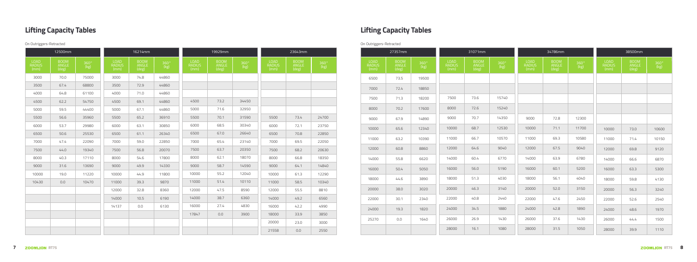|                        | 12500mm                |                       |                        | 16214mm                |                       |                        | 19929mm                |                       |                               | 23643mm                |                    |                        | 27357mm                |                       |                               | 31071mm                |                       |                        | 34786mm                |                     |                               | 38500mm                |
|------------------------|------------------------|-----------------------|------------------------|------------------------|-----------------------|------------------------|------------------------|-----------------------|-------------------------------|------------------------|--------------------|------------------------|------------------------|-----------------------|-------------------------------|------------------------|-----------------------|------------------------|------------------------|---------------------|-------------------------------|------------------------|
| LOAD<br>RADIUS<br>(mm) | BOOM<br>ANGLE<br>(deg) | $360^{\circ}$<br>(kg) | LOAD<br>RADIUS<br>(mm) | BOOM<br>ANGLE<br>(deg) | $360^{\circ}$<br>(kg) | LOAD<br>RADIUS<br>(mm) | BOOM<br>ANGLE<br>(deg) | $360^{\circ}$<br>(kg) | <b>LOAD</b><br>RADIUS<br>(mm) | BOOM<br>ANGLE<br>(deg) | $360^{\circ}$ (kg) | LOAD<br>RADIUS<br>(mm) | BOOM<br>ANGLE<br>(deg) | $360^{\circ}$<br>(kg) | <b>LOAD</b><br>RADIUS<br>(mm) | BOOM<br>ANGLE<br>(deg) | $360^{\circ}$<br>(kg) | LOAD<br>RADIUS<br>(mm) | BOOM<br>ANGLE<br>(deg) | $360^\circ$<br>(kg) | <b>LOAD</b><br>RADIUS<br>(mm) | BOOM<br>ANGLE<br>(deg) |
| 3000                   | 70.0                   | 75000                 | 3000                   | 74.8                   | 44860                 |                        |                        |                       |                               |                        |                    | 6500                   | 73.5                   | 19500                 |                               |                        |                       |                        |                        |                     |                               |                        |
| 3500                   | 67.4                   | 68800                 | 3500                   | 72.9                   | 44860                 |                        |                        |                       |                               |                        |                    | 7000                   | 72.4                   | 18850                 |                               |                        |                       |                        |                        |                     |                               |                        |
| 4000                   | 64.8                   | 61100                 | 4000                   | 71.0                   | 44860                 |                        |                        |                       |                               |                        |                    | 7500                   | 71.3                   | 18200                 | 7500                          | 73.6                   | 15740                 |                        |                        |                     |                               |                        |
| 4500                   | 62.2                   | 54750                 | 4500                   | 69.1                   | 44860                 | 4500                   | 73.2                   | 34450                 |                               |                        |                    |                        |                        |                       |                               |                        |                       |                        |                        |                     |                               |                        |
| 5000                   | 59.5                   | 44400                 | 5000                   | 67.1                   | 44860                 | 5000                   | 71.6                   | 32950                 |                               |                        |                    | 8000                   | 70.2                   | 17600                 | 8000                          | 72.6                   | 15240                 |                        |                        |                     |                               |                        |
| 5500                   | 56.6                   | 35960                 | 5500                   | 65.2                   | 36910                 | 5500                   | 70.1                   | 31590                 | 5500                          | 73.4                   | 24700              | 9000                   | 67.9                   | 14890                 | 9000                          | 70.7                   | 14350                 | 9000                   | 72.8                   | 12300               |                               |                        |
| 6000                   | 53.7                   | 29980                 | 6000                   | 63.1                   | 30850                 | 6000                   | 68.5                   | 30340                 | 6000                          | 72.1                   | 23750              | 10000                  | 65.6                   | 12340                 | 10000                         | 68.7                   | 12530                 | 10000                  | 71.1                   | 11700               | 10000                         | 73.0                   |
| 6500                   | 50.6                   | 25530                 | 6500                   | 61.1                   | 26340                 | 6500                   | 67.0                   | 26640                 | 6500                          | 70.8                   | 22850              | 11000                  | 63.2                   | 10390                 | 11000                         | 66.7                   | 10570                 | 11000                  | 69.3                   | 10580               | 11000                         | 71.4                   |
| 7000                   | 47.4                   | 22090                 | 7000                   | 59.0                   | 22850                 | 7000                   | 65.4                   | 23140                 | 7000                          | 69.5                   | 22050              |                        |                        |                       |                               |                        |                       |                        |                        |                     |                               |                        |
| 7500                   | 44.0                   | 19340                 | 7500                   | 56.8                   | 20070                 | 7500                   | 63.7                   | 20350                 | 7500                          | 68.2                   | 20630              | 12000                  | 60.8                   | 8860                  | 12000                         | 64.6                   | 9040                  | 12000                  | 67.5                   | 9040                | 12000                         | 69.8                   |
| 8000                   | 40.3                   | 17110                 | 8000                   | 54.6                   | 17800                 | 8000                   | 62.1                   | 18070                 | 8000                          | 66.8                   | 18350              | 14000                  | 55.8                   | 6620                  | 14000                         | 60.4                   | 6770                  | 14000                  | 63.9                   | 6780                | 14000                         | 66.6                   |
| 9000                   | 31.6                   | 13690                 | 9000                   | 49.9                   | 14330                 | 9000                   | 58.7                   | 14590                 | 9000                          | 64.1                   | 14840              | 16000                  | 50.4                   | 5050                  | 16000                         | 56.0                   | 5190                  | 16000                  | 60.1                   | 5200                | 16000                         | 63.3                   |
| 10000                  | 19.0                   | 11220                 | 10000                  | 44.9                   | 11800                 | 10000                  | 55.2                   | 12040                 | 10000                         | 61.3                   | 12290              | 18000                  | 44.6                   | 3890                  | 18000                         | 51.3                   | 4030                  | 18000                  | 56.1                   | 4040                | 18000                         | 59.8                   |
| 10430                  | 0.0                    | 10470                 | 11000                  | 39.3                   | 9870                  | 11000                  | 51.4                   | 10110                 | 11000                         | 58.5                   | 10340              |                        |                        |                       |                               |                        |                       |                        |                        |                     |                               |                        |
|                        |                        |                       | 12000                  | 32.8                   | 8360                  | 12000                  | 47.5                   | 8590                  | 12000                         | 55.5                   | 8810               | 20000                  | 38.0                   | 3020                  | 20000                         | 46.3                   | 3140                  | 20000                  | 52.0                   | 3150                | 20000                         | 56.3                   |
|                        |                        |                       | 14000                  | 10.5                   | 6190                  | 14000                  | 38.7                   | 6360                  | 14000                         | 49.2                   | 6560               | 22000                  | 30.1                   | 2340                  | 22000                         | 40.8                   | 2440                  | 22000                  | 47.6                   | 2450                | 22000                         | 52.6                   |
|                        |                        |                       | 14137                  | 0.0                    | 6130                  | 16000                  | 27.4                   | 4830                  | 16000                         | 42.2                   | 4990               | 24000                  | 19.3                   | 1820                  | 24000                         | 34.5                   | 1880                  | 24000                  | 42.8                   | 1890                | 24000                         | 48.6                   |
|                        |                        |                       |                        |                        |                       | 17847                  | 0.0                    | 3900                  | 18000                         | 33.9                   | 3850               | 25270                  | 0.0                    | 1640                  | 26000                         | 26.9                   | 1430                  | 26000                  | 37.6                   | 1430                | 26000                         | 44.4                   |
|                        |                        |                       |                        |                        |                       |                        |                        |                       | 20000                         | 23.0                   | 3000               |                        |                        |                       |                               |                        |                       |                        |                        |                     |                               |                        |
|                        |                        |                       |                        |                        |                       |                        |                        |                       | 21558                         | 0.0                    | 2550               |                        |                        |                       | 28000                         | 16.1                   | 1080                  | 28000                  | 31.5                   | 1050                | 28000                         | 39.9                   |

| 27357mm                |                            |                               | 31071mm                       |                     |                        | 34786mm                       |                            |                                      | 38500mm                       |                                                           |
|------------------------|----------------------------|-------------------------------|-------------------------------|---------------------|------------------------|-------------------------------|----------------------------|--------------------------------------|-------------------------------|-----------------------------------------------------------|
| BOOM<br>ANGLE<br>(deg) | $\frac{360^{\circ}}{(kg)}$ | <b>LOAD</b><br>RADIUS<br>(mm) | <b>BOOM</b><br>ANGLE<br>(deg) | $360^\circ$<br>(kg) | LOAD<br>RADIUS<br>(mm) | <b>BOOM</b><br>ANGLE<br>(deg) | $\frac{360^{\circ}}{(kg)}$ | <b>LOAD</b><br><b>RADIUS</b><br>(mm) | <b>BOOM</b><br>ANGLE<br>(deg) | $\begin{array}{c} 360^{\circ} \\ \text{(kg)} \end{array}$ |
| 73.5                   | 19500                      |                               |                               |                     |                        |                               |                            |                                      |                               |                                                           |
| 72.4                   | 18850                      |                               |                               |                     |                        |                               |                            |                                      |                               |                                                           |
| 71.3                   | 18200                      | 7500                          | 73.6                          | 15740               |                        |                               |                            |                                      |                               |                                                           |
| 70.2                   | 17600                      | 8000                          | 72.6                          | 15240               |                        |                               |                            |                                      |                               |                                                           |
| 67.9                   | 14890                      | 9000                          | 70.7                          | 14350               | 9000                   | 72.8                          | 12300                      |                                      |                               |                                                           |
| 65.6                   | 12340                      | 10000                         | 68.7                          | 12530               | 10000                  | 71.1                          | 11700                      | 10000                                | 73.0                          | 10600                                                     |
| 63.2                   | 10390                      | 11000                         | 66.7                          | 10570               | 11000                  | 69.3                          | 10580                      | 11000                                | 71.4                          | 10150                                                     |
| 60.8                   | 8860                       | 12000                         | 64.6                          | 9040                | 12000                  | 67.5                          | 9040                       | 12000                                | 69.8                          | 9120                                                      |
| 55.8                   | 6620                       | 14000                         | 60.4                          | 6770                | 14000                  | 63.9                          | 6780                       | 14000                                | 66.6                          | 6870                                                      |
| 50.4                   | 5050                       | 16000                         | 56.0                          | 5190                | 16000                  | 60.1                          | 5200                       | 16000                                | 63.3                          | 5300                                                      |
| 44.6                   | 3890                       | 18000                         | 51.3                          | 4030                | 18000                  | 56.1                          | 4040                       | 18000                                | 59.8                          | 4130                                                      |
| 38.0                   | 3020                       | 20000                         | 46.3                          | 3140                | 20000                  | 52.0                          | 3150                       | 20000                                | 56.3                          | 3240                                                      |
| 30.1                   | 2340                       | 22000                         | 40.8                          | 2440                | 22000                  | 47.6                          | 2450                       | 22000                                | 52.6                          | 2540                                                      |
| 19.3                   | 1820                       | 24000                         | 34.5                          | 1880                | 24000                  | 42.8                          | 1890                       | 24000                                | 48.6                          | 1970                                                      |
| 0.0                    | 1640                       | 26000                         | 26.9                          | 1430                | 26000                  | 37.6                          | 1430                       | 26000                                | 44.4                          | 1500                                                      |
|                        |                            | 28000                         | 16.1                          | 1080                | 28000                  | 31.5                          | 1050                       | 28000                                | 39.9                          | 1110                                                      |

### **Lifting Capacity Tables Lifting Capacity Tables**

On Outriggers-Retracted On Outriggers-Retracted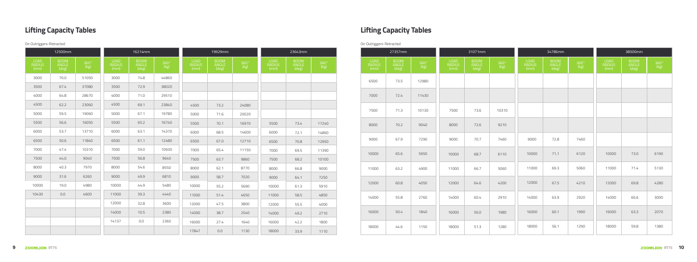|                        | 12500mm                |              |                        | 16214mm                |                       |                        | 19929mm                |                          |                        | 23643mm                |                    |                        | 27357mm                |                    |                        | 31071mm                |                          |                        | 34786mm                |                       |                        | 38500mm                |
|------------------------|------------------------|--------------|------------------------|------------------------|-----------------------|------------------------|------------------------|--------------------------|------------------------|------------------------|--------------------|------------------------|------------------------|--------------------|------------------------|------------------------|--------------------------|------------------------|------------------------|-----------------------|------------------------|------------------------|
| LOAD<br>RADIUS<br>(mm) | BOOM<br>ANGLE<br>(deg) | 360°<br>(kg) | LOAD<br>RADIUS<br>(mm) | BOOM<br>ANGLE<br>(deg) | $360^{\circ}$<br>(kg) | LOAD<br>RADIUS<br>(mm) | BOOM<br>ANGLE<br>(deg) | $\frac{360^{\circ}}{kg}$ | LOAD<br>RADIUS<br>(mm) | BOOM<br>ANGLE<br>(deg) | $360^{\circ}$ (kg) | LOAD<br>RADIUS<br>(mm) | BOOM<br>ANGLE<br>(deg) | $360^{\circ}$ (kg) | LOAD<br>RADIUS<br>(mm) | BOOM<br>ANGLE<br>(deg) | $\frac{360^{\circ}}{kg}$ | LOAD<br>RADIUS<br>(mm) | BOOM<br>ANGLE<br>(deg) | $360^{\circ}$<br>(kg) | LOAD<br>RADIUS<br>(mm) | BOOM<br>ANGLE<br>(deg) |
| 3000                   | 70.0                   | 51050        | 3000                   | 74.8                   | 44860                 |                        |                        |                          |                        |                        |                    | 6500                   | 73.5                   | 12980              |                        |                        |                          |                        |                        |                       |                        |                        |
| 3500                   | 67.4                   | 37080        | 3500                   | 72.9                   | 38020                 |                        |                        |                          |                        |                        |                    |                        |                        |                    |                        |                        |                          |                        |                        |                       |                        |                        |
| 4000                   | 64.8                   | 28670        | 4000                   | 71.0                   | 29510                 |                        |                        |                          |                        |                        |                    | 7000                   | 72.4                   | 11430              |                        |                        |                          |                        |                        |                       |                        |                        |
| 4500                   | 62.2                   | 23060        | 4500                   | 69.1                   | 23840                 | 4500                   | 73.2                   | 24080                    |                        |                        |                    |                        |                        |                    |                        |                        |                          |                        |                        |                       |                        |                        |
| 5000                   | 59.5                   | 19060        | 5000                   | 67.1                   | 19780                 | 5000                   | 71.6                   | 20020                    |                        |                        |                    | 7500                   | 71.3                   | 10130              | 7500                   | 73.6                   | 10310                    |                        |                        |                       |                        |                        |
| 5500                   | 56.6                   | 16050        | 5500                   | 65.2                   | 16740                 | 5500                   | 70.1                   | 16970                    | 5500                   | 73.4                   | 17240              | 8000                   | 70.2                   | 9040               | 8000                   | 72.6                   | 9210                     |                        |                        |                       |                        |                        |
| 6000                   | 53.7                   | 13710        | 6000                   | 63.1                   | 14370                 | 6000                   | 68.5                   | 14600                    | 6000                   | 72.1                   | 14860              |                        |                        |                    |                        |                        |                          |                        |                        |                       |                        |                        |
| 6500                   | 50.6                   | 11840        | 6500                   | 61.1                   | 12480                 | 6500                   | 67.0                   | 12710                    | 6500                   | 70.8                   | 12950              | 9000                   | 67.9                   | 7290               | 9000                   | 70.7                   | 7460                     | 9000                   | 72.8                   | 7460                  |                        |                        |
| 7000                   | 47.4                   | 10310        | 7000                   | 59.0                   | 10930                 | 7000                   | 65.4                   | 11150                    | 7000                   | 69.5                   | 11390              | 10000                  | 65.6                   | 5950               | 10000                  | 68.7                   | 6110                     | 10000                  | 71.1                   | 6120                  | 10000                  | 73.0                   |
| 7500                   | 44.0                   | 9040         | 7500                   | 56.8                   | 9640                  | 7500                   | 63.7                   | 9860                     | 7500                   | 68.2                   | 10100              |                        |                        |                    |                        |                        |                          |                        |                        |                       |                        |                        |
| 8000                   | 40.3                   | 7970         | 8000                   | 54.6                   | 8550                  | 8000                   | 62.1                   | 8770                     | 8000                   | 66.8                   | 9000               | 11000                  | 63.2                   | 4900               | 11000                  | 66.7                   | 5060                     | 11000                  | 69.3                   | 5060                  | 11000                  | 71.4                   |
| 9000                   | 31.6                   | 6260         | 9000                   | 49.9                   | 6810                  | 9000                   | 58.7                   | 7020                     | 9000                   | 64.1                   | 7250               |                        |                        |                    |                        |                        |                          |                        |                        |                       |                        |                        |
| 10000                  | 19.0                   | 4980         | 10000                  | 44.9                   | 5480                  | 10000                  | 55.2                   | 5690                     | 10000                  | 61.3                   | 5910               | 12000                  | 60.8                   | 4050               | 12000                  | 64.6                   | 4200                     | 12000                  | 67.5                   | 4210                  | 12000                  | 69.8                   |
| 10430                  | 0.0                    | 4600         | 11000                  | 39.3                   | 4440                  | 11000                  | 51.4                   | 4650                     | 11000                  | 58.5                   | 4850               | 14000                  | 55.8                   | 2760               | 14000                  | 60.4                   | 2910                     | 14000                  | 63.9                   | 2920                  | 14000                  | 66.6                   |
|                        |                        |              | 12000                  | 32.8                   | 3600                  | 12000                  | 47.5                   | 3800                     | 12000                  | 55.5                   | 4000               |                        |                        |                    |                        |                        |                          |                        |                        |                       |                        |                        |
|                        |                        |              | 14000                  | 10.5                   | 2380                  | 14000                  | 38.7                   | 2540                     | 14000                  | 49.2                   | 2710               | 16000                  | 50.4                   | 1840               | 16000                  | 56.0                   | 1980                     | 16000                  | 60.1                   | 1990                  | 16000                  | 63.3                   |
|                        |                        |              | 14137                  | 0.0                    | 2360                  | 16000                  | 27.4                   | 1640                     | 16000                  | 42.2                   | 1800               |                        |                        |                    |                        |                        |                          |                        |                        |                       |                        |                        |
|                        |                        |              |                        |                        |                       | 17847                  | 0.0                    | 1130                     | 18000                  | 33.9                   | 1110               | 18000                  | 44.6                   | 1150               | 18000                  | 51.3                   | 1280                     | 18000                  | 56.1                   | 1290                  | 18000                  | 59.8                   |

| LOAD<br>RADIUS<br>(mm) |
|------------------------|
| 6500                   |
| 7000                   |
| 7500                   |
| 8000                   |
| 9000                   |
| 10000                  |
| 11000                  |
| 12000                  |
| 14000                  |
| 16000                  |
| 18000                  |
|                        |

| 27357mm                       |                            |                               | 31071mm                |                    |                               | 34786mm                       |                            |                        | 38500mm                       |                            |
|-------------------------------|----------------------------|-------------------------------|------------------------|--------------------|-------------------------------|-------------------------------|----------------------------|------------------------|-------------------------------|----------------------------|
| <b>BOOM</b><br>ANGLE<br>(deg) | $\frac{360^{\circ}}{(kg)}$ | <b>LOAD</b><br>RADIUS<br>(mm) | BOOM<br>ANGLE<br>(deg) | $360^{\circ}$ (kg) | <b>LOAD</b><br>RADIUS<br>(mm) | <b>BOOM</b><br>ANGLE<br>(deg) | $\frac{360^{\circ}}{(kg)}$ | LOAD<br>RADIUS<br>(mm) | <b>BOOM</b><br>ANGLE<br>(deg) | $\frac{360^{\circ}}{(kg)}$ |
| 73.5                          | 12980                      |                               |                        |                    |                               |                               |                            |                        |                               |                            |
| 72.4                          | 11430                      |                               |                        |                    |                               |                               |                            |                        |                               |                            |
| 71.3                          | 10130                      | 7500                          | 73.6                   | 10310              |                               |                               |                            |                        |                               |                            |
| 70.2                          | 9040                       | 8000                          | 72.6                   | 9210               |                               |                               |                            |                        |                               |                            |
| 67.9                          | 7290                       | 9000                          | 70.7                   | 7460               | 9000                          | 72.8                          | 7460                       |                        |                               |                            |
| 65.6                          | 5950                       | 10000                         | 68.7                   | 6110               | 10000                         | 71.1                          | 6120                       | 10000                  | 73.0                          | 6190                       |
| 63.2                          | 4900                       | 11000                         | 66.7                   | 5060               | 11000                         | 69.3                          | 5060                       | 11000                  | 71.4                          | 5130                       |
| 60.8                          | 4050                       | 12000                         | 64.6                   | 4200               | 12000                         | 67.5                          | 4210                       | 12000                  | 69.8                          | 4280                       |
| 55.8                          | 2760                       | 14000                         | 60.4                   | 2910               | 14000                         | 63.9                          | 2920                       | 14000                  | 66.6                          | 3000                       |
| 50.4                          | 1840                       | 16000                         | 56.0                   | 1980               | 16000                         | 60.1                          | 1990                       | 16000                  | 63.3                          | 2070                       |
| 44.6                          | 1150                       | 18000                         | 51.3                   | 1280               | 18000                         | 56.1                          | 1290                       | 18000                  | 59.8                          | 1380                       |

### **Lifting Capacity Tables Lifting Capacity Tables**

### On Outriggers-Retracted On Outriggers-Retracted